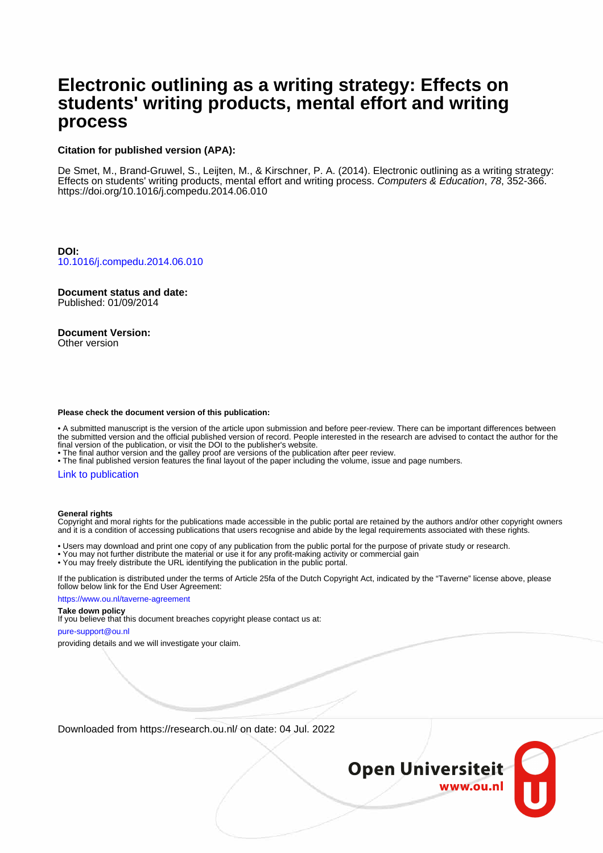# **Electronic outlining as a writing strategy: Effects on students' writing products, mental effort and writing process**

## **Citation for published version (APA):**

De Smet, M., Brand-Gruwel, S., Leijten, M., & Kirschner, P. A. (2014). Electronic outlining as a writing strategy: Effects on students' writing products, mental effort and writing process. Computers & Education, 78, 352-366. <https://doi.org/10.1016/j.compedu.2014.06.010>

**DOI:** [10.1016/j.compedu.2014.06.010](https://doi.org/10.1016/j.compedu.2014.06.010)

**Document status and date:** Published: 01/09/2014

**Document Version:** Other version

## **Please check the document version of this publication:**

• A submitted manuscript is the version of the article upon submission and before peer-review. There can be important differences between the submitted version and the official published version of record. People interested in the research are advised to contact the author for the final version of the publication, or visit the DOI to the publisher's website.

• The final author version and the galley proof are versions of the publication after peer review.

• The final published version features the final layout of the paper including the volume, issue and page numbers.

### [Link to publication](https://research.ou.nl/en/publications/8d775c13-cdb4-46a8-b6f2-0e3b781abcc3)

#### **General rights**

Copyright and moral rights for the publications made accessible in the public portal are retained by the authors and/or other copyright owners and it is a condition of accessing publications that users recognise and abide by the legal requirements associated with these rights.

• Users may download and print one copy of any publication from the public portal for the purpose of private study or research.

• You may not further distribute the material or use it for any profit-making activity or commercial gain

• You may freely distribute the URL identifying the publication in the public portal.

If the publication is distributed under the terms of Article 25fa of the Dutch Copyright Act, indicated by the "Taverne" license above, please follow below link for the End User Agreement:

https://www.ou.nl/taverne-agreement

#### **Take down policy**

If you believe that this document breaches copyright please contact us at:

pure-support@ou.nl

providing details and we will investigate your claim.

Downloaded from https://research.ou.nl/ on date: 04 Jul. 2022